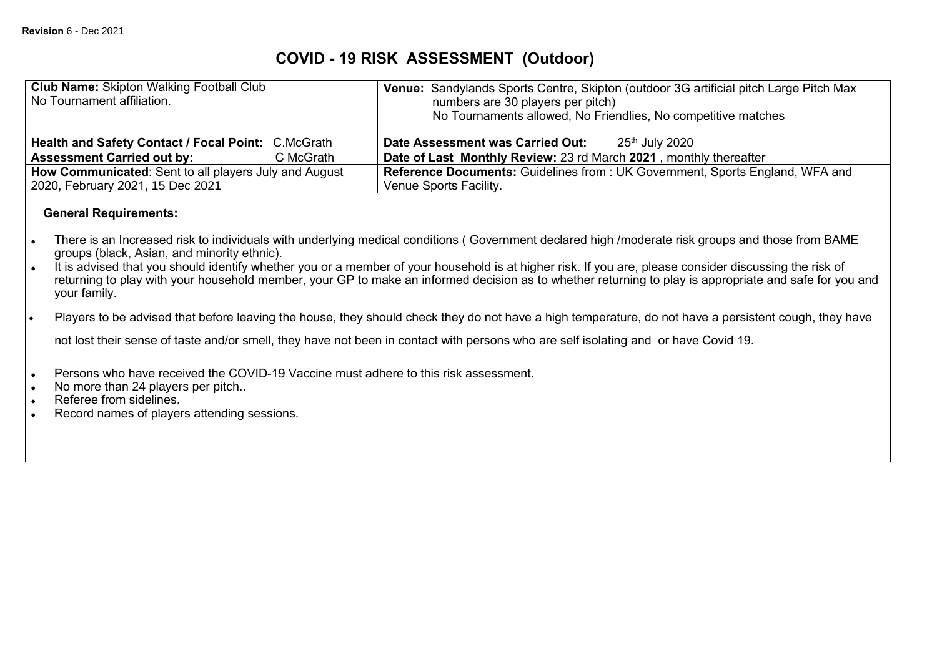## **COVID - 19 RISK ASSESSMENT (Outdoor)**

| <b>Club Name: Skipton Walking Football Club</b><br>No Tournament affiliation.                                             | Sandylands Sports Centre, Skipton (outdoor 3G artificial pitch Large Pitch Max<br><b>Venue:</b><br>numbers are 30 players per pitch)<br>No Tournaments allowed, No Friendlies, No competitive matches                                                                                                                                                                                                                                                                |
|---------------------------------------------------------------------------------------------------------------------------|----------------------------------------------------------------------------------------------------------------------------------------------------------------------------------------------------------------------------------------------------------------------------------------------------------------------------------------------------------------------------------------------------------------------------------------------------------------------|
| <b>Health and Safety Contact / Focal Point:</b><br>C.McGrath                                                              | 25 <sup>th</sup> July 2020<br>Date Assessment was Carried Out:                                                                                                                                                                                                                                                                                                                                                                                                       |
| <b>Assessment Carried out by:</b><br>C McGrath                                                                            | Date of Last Monthly Review: 23 rd March 2021, monthly thereafter                                                                                                                                                                                                                                                                                                                                                                                                    |
| How Communicated: Sent to all players July and August<br>2020, February 2021, 15 Dec 2021<br><b>General Requirements:</b> | <b>Reference Documents: Guidelines from: UK Government, Sports England, WFA and</b><br>Venue Sports Facility.                                                                                                                                                                                                                                                                                                                                                        |
| groups (black, Asian, and minority ethnic).<br>$\bullet$<br>your family.                                                  | There is an Increased risk to individuals with underlying medical conditions (Government declared high /moderate risk groups and those from BAME<br>It is advised that you should identify whether you or a member of your household is at higher risk. If you are, please consider discussing the risk of<br>returning to play with your household member, your GP to make an informed decision as to whether returning to play is appropriate and safe for you and |

Players to be advised that before leaving the house, they should check they do not have a high temperature, do not have a persistent cough, they have

not lost their sense of taste and/or smell, they have not been in contact with persons who are self isolating and or have Covid 19.

- Persons who have received the COVID-19 Vaccine must adhere to this risk assessment.<br>- No more than 24 players per pitch..<br>- Referee from sidelines.<br>- Record names of players attending sessions.
- No more than 24 players per pitch..
- Referee from sidelines.
- Record names of players attending sessions.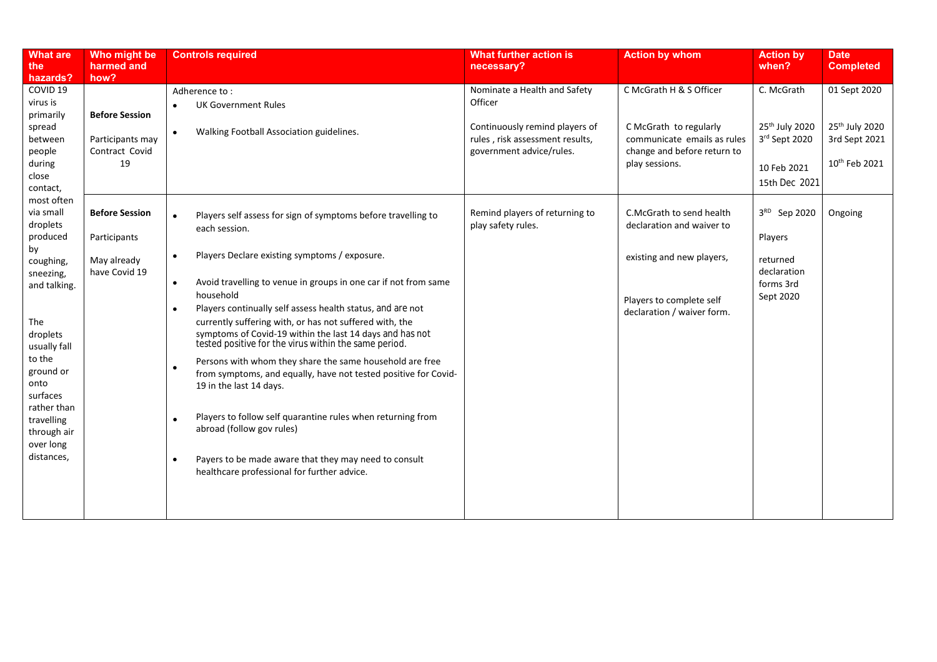| <b>What are</b><br>the                                                                                                                                                                                                                               | Who might be<br>harmed and                                            | <b>Controls required</b>                                                                                                                                                                                                                                                                                                                                                                                                                                                                                                                                                                                                                                                                                                                                                                                                                                                        | What further action is<br>necessary?                                                          | <b>Action by whom</b>                                                                                                                        | <b>Action by</b><br>when?                                                    | <b>Date</b><br><b>Completed</b>                                          |
|------------------------------------------------------------------------------------------------------------------------------------------------------------------------------------------------------------------------------------------------------|-----------------------------------------------------------------------|---------------------------------------------------------------------------------------------------------------------------------------------------------------------------------------------------------------------------------------------------------------------------------------------------------------------------------------------------------------------------------------------------------------------------------------------------------------------------------------------------------------------------------------------------------------------------------------------------------------------------------------------------------------------------------------------------------------------------------------------------------------------------------------------------------------------------------------------------------------------------------|-----------------------------------------------------------------------------------------------|----------------------------------------------------------------------------------------------------------------------------------------------|------------------------------------------------------------------------------|--------------------------------------------------------------------------|
| hazards?                                                                                                                                                                                                                                             | how?                                                                  |                                                                                                                                                                                                                                                                                                                                                                                                                                                                                                                                                                                                                                                                                                                                                                                                                                                                                 |                                                                                               |                                                                                                                                              |                                                                              |                                                                          |
| COVID 19<br>virus is<br>primarily                                                                                                                                                                                                                    | <b>Before Session</b>                                                 | Adherence to:<br><b>UK Government Rules</b>                                                                                                                                                                                                                                                                                                                                                                                                                                                                                                                                                                                                                                                                                                                                                                                                                                     | Nominate a Health and Safety<br>Officer                                                       | C McGrath H & S Officer                                                                                                                      | C. McGrath                                                                   | 01 Sept 2020                                                             |
| spread<br>between<br>people<br>during<br>close<br>contact,                                                                                                                                                                                           | Participants may<br>Contract Covid<br>19                              | Walking Football Association guidelines.<br>$\bullet$                                                                                                                                                                                                                                                                                                                                                                                                                                                                                                                                                                                                                                                                                                                                                                                                                           | Continuously remind players of<br>rules, risk assessment results,<br>government advice/rules. | C McGrath to regularly<br>communicate emails as rules<br>change and before return to<br>play sessions.                                       | 25 <sup>th</sup> July 2020<br>3rd Sept 2020<br>10 Feb 2021<br>15th Dec 2021  | 25 <sup>th</sup> July 2020<br>3rd Sept 2021<br>10 <sup>th</sup> Feb 2021 |
| most often<br>via small<br>droplets<br>produced<br>by<br>coughing,<br>sneezing,<br>and talking.<br>The<br>droplets<br>usually fall<br>to the<br>ground or<br>onto<br>surfaces<br>rather than<br>travelling<br>through air<br>over long<br>distances, | <b>Before Session</b><br>Participants<br>May already<br>have Covid 19 | Players self assess for sign of symptoms before travelling to<br>each session.<br>Players Declare existing symptoms / exposure.<br>$\bullet$<br>Avoid travelling to venue in groups in one car if not from same<br>$\bullet$<br>household<br>Players continually self assess health status, and are not<br>$\bullet$<br>currently suffering with, or has not suffered with, the<br>symptoms of Covid-19 within the last 14 days and has not<br>tested positive for the virus within the same period.<br>Persons with whom they share the same household are free<br>from symptoms, and equally, have not tested positive for Covid-<br>19 in the last 14 days.<br>Players to follow self quarantine rules when returning from<br>abroad (follow gov rules)<br>Payers to be made aware that they may need to consult<br>$\bullet$<br>healthcare professional for further advice. | Remind players of returning to<br>play safety rules.                                          | C.McGrath to send health<br>declaration and waiver to<br>existing and new players,<br>Players to complete self<br>declaration / waiver form. | 3RD Sep 2020<br>Players<br>returned<br>declaration<br>forms 3rd<br>Sept 2020 | Ongoing                                                                  |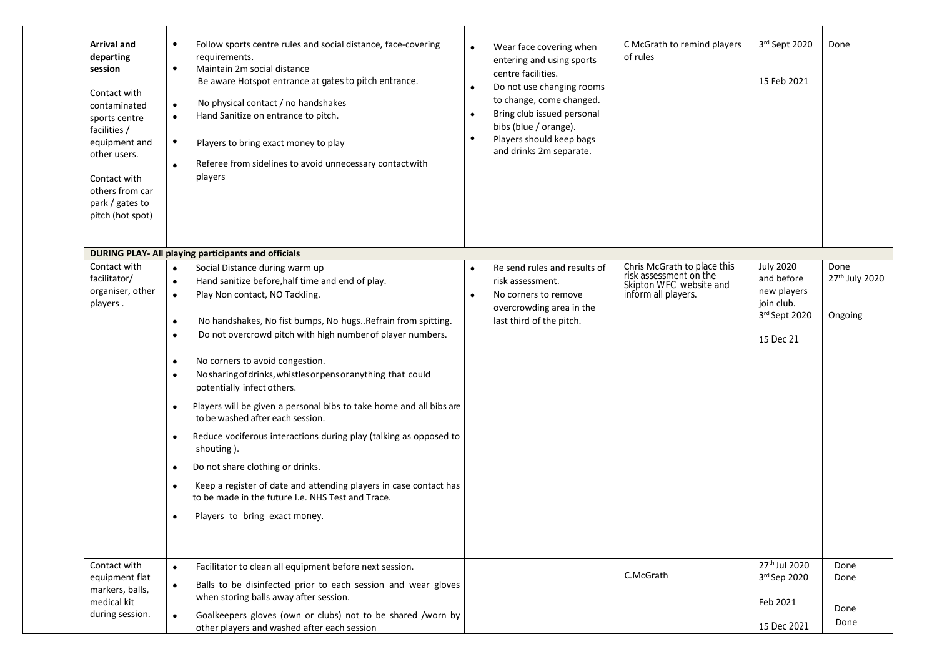| <b>Arrival and</b><br>departing<br>session<br>Contact with<br>contaminated<br>sports centre<br>facilities /<br>equipment and<br>other users.<br>Contact with<br>others from car<br>park / gates to<br>pitch (hot spot) | Follow sports centre rules and social distance, face-covering<br>$\bullet$<br>requirements.<br>Maintain 2m social distance<br>$\bullet$<br>Be aware Hotspot entrance at gates to pitch entrance.<br>No physical contact / no handshakes<br>$\bullet$<br>Hand Sanitize on entrance to pitch.<br>$\bullet$<br>$\bullet$<br>Players to bring exact money to play<br>Referee from sidelines to avoid unnecessary contact with<br>players                                                                                                                                                                                                                                                                                                                                                                                                                                                                                            | $\bullet$<br>$\bullet$<br>$\bullet$ | Wear face covering when<br>entering and using sports<br>centre facilities.<br>Do not use changing rooms<br>to change, come changed.<br>Bring club issued personal<br>bibs (blue / orange).<br>Players should keep bags<br>and drinks 2m separate. | C McGrath to remind players<br>of rules                                                                 | $3rd$ Sept 2020<br>15 Feb 2021                                                            | Done                                          |
|------------------------------------------------------------------------------------------------------------------------------------------------------------------------------------------------------------------------|---------------------------------------------------------------------------------------------------------------------------------------------------------------------------------------------------------------------------------------------------------------------------------------------------------------------------------------------------------------------------------------------------------------------------------------------------------------------------------------------------------------------------------------------------------------------------------------------------------------------------------------------------------------------------------------------------------------------------------------------------------------------------------------------------------------------------------------------------------------------------------------------------------------------------------|-------------------------------------|---------------------------------------------------------------------------------------------------------------------------------------------------------------------------------------------------------------------------------------------------|---------------------------------------------------------------------------------------------------------|-------------------------------------------------------------------------------------------|-----------------------------------------------|
|                                                                                                                                                                                                                        | <b>DURING PLAY- All playing participants and officials</b>                                                                                                                                                                                                                                                                                                                                                                                                                                                                                                                                                                                                                                                                                                                                                                                                                                                                      |                                     |                                                                                                                                                                                                                                                   |                                                                                                         |                                                                                           |                                               |
| Contact with<br>facilitator/<br>organiser, other<br>players.                                                                                                                                                           | Social Distance during warm up<br>$\bullet$<br>Hand sanitize before, half time and end of play.<br>$\bullet$<br>Play Non contact, NO Tackling.<br>$\bullet$<br>No handshakes, No fist bumps, No hugsRefrain from spitting.<br>$\bullet$<br>Do not overcrowd pitch with high number of player numbers.<br>$\bullet$<br>No corners to avoid congestion.<br>$\bullet$<br>No sharing of drinks, whistles or pens or anything that could<br>$\bullet$<br>potentially infect others.<br>Players will be given a personal bibs to take home and all bibs are<br>to be washed after each session.<br>Reduce vociferous interactions during play (talking as opposed to<br>$\bullet$<br>shouting).<br>Do not share clothing or drinks.<br>$\bullet$<br>Keep a register of date and attending players in case contact has<br>$\bullet$<br>to be made in the future I.e. NHS Test and Trace.<br>Players to bring exact money.<br>$\bullet$ | $\bullet$                           | Re send rules and results of<br>risk assessment.<br>No corners to remove<br>overcrowding area in the<br>last third of the pitch.                                                                                                                  | Chris McGrath to place this<br>risk assessment on the<br>Skipton WFC website and<br>inform all players. | <b>July 2020</b><br>and before<br>new players<br>join club.<br>3rd Sept 2020<br>15 Dec 21 | Done<br>27 <sup>th</sup> July 2020<br>Ongoing |
| Contact with<br>equipment flat<br>markers, balls,<br>medical kit<br>during session.                                                                                                                                    | Facilitator to clean all equipment before next session.<br>$\bullet$<br>Balls to be disinfected prior to each session and wear gloves<br>$\bullet$<br>when storing balls away after session.<br>Goalkeepers gloves (own or clubs) not to be shared /worn by<br>$\bullet$<br>other players and washed after each session                                                                                                                                                                                                                                                                                                                                                                                                                                                                                                                                                                                                         |                                     |                                                                                                                                                                                                                                                   | C.McGrath                                                                                               | 27 <sup>th</sup> Jul 2020<br>3rd Sep 2020<br>Feb 2021<br>15 Dec 2021                      | Done<br>Done<br>Done<br>Done                  |